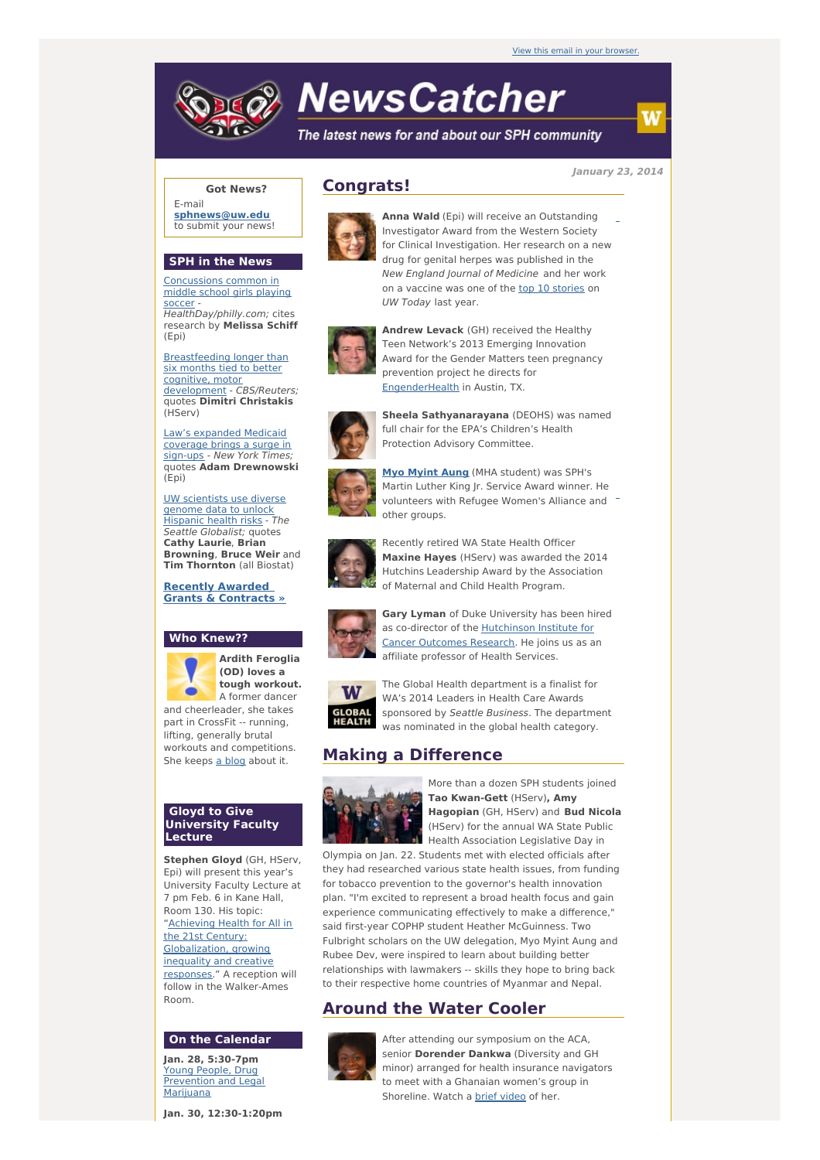# **NewsCatcher**

The latest news for and about our SPH community

**January 23, 2014**

w

## **Got News?**

E-mail **[sphnews@uw.edu](mailto:sphnews@uw.edu)** to submit your news!

### **SPH in the News**

[Concussions](http://engage.washington.edu/site/R?i=_OR7hOzTqi8omq-NDeMkRg) common in middle school girls playing soccer HealthDay/philly.com; cites research by **Melissa Schiff** (Epi)

[Breastfeeding](http://engage.washington.edu/site/R?i=u1H5uK8Jxd0eo0483qTVOw) longer than six months tied to better cognitive, motor development - CBS/Reuters; quotes **Dimitri Christakis** (HServ)

Law's [expanded](http://engage.washington.edu/site/R?i=T4VcquzgXMnI3VLYRAJjrA) Medicaid coverage brings a surge in sign-ups - New York Times quotes **Adam Drewnowski** (Epi)

UW [scientists](http://engage.washington.edu/site/R?i=Blb8rktj4L6d6LDC25i8gQ) use diverse genome data to unlock Hispanic health risks - The Seattle Globalist; quotes **Cathy Laurie**, **Brian Browning**, **Bruce Weir** and **Tim Thornton** (all Biostat)

#### **Recently Awarded Grants & [Contracts](http://engage.washington.edu/site/R?i=65VKh9CgtH87nTGQAqhfbg) »**

#### **Who Knew??**



**(OD) loves a tough workout.** A former dancer

part in CrossFit -- running, lifting, generally brutal workouts and competitions. She keeps a [blog](http://engage.washington.edu/site/R?i=Q5-kCRMSx75ePSwGFHEehA) about it.

#### **Gloyd to Give University Faculty Lecture**

**Stephen Gloyd** (GH, HServ, Epi) will present this year's University Faculty Lecture at 7 pm Feb. 6 in Kane Hall, Room 130. His topic: "Achieving Health for All in the 21st Century: [Globalization,](http://engage.washington.edu/site/R?i=_k6Dtat6Ak6CBYXaglWrEg) growing inequality and creative responses." A reception will follow in the Walker-Ames Room.

#### **On the Calendar**

**Jan. 28, 5:30-7pm** Young People, Drug [Prevention](http://engage.washington.edu/site/R?i=_c8IDwjkrAJadGEe8BCJuw) and Legal Marijuana

**Jan. 30, 12:30-1:20pm**

# **Congrats!**



**Anna Wald** (Epi) will receive an Outstanding Investigator Award from the Western Society for Clinical Investigation. Her research on a new drug for genital herpes was published in the New England Journal of Medicine and her work on a vaccine was one of the top 10 [stories](http://engage.washington.edu/site/R?i=kS1zWBKTO6GxnzMv83PqBA) on UW Today last year.



**Andrew Levack** (GH) received the Healthy Teen Network's 2013 Emerging Innovation Award for the Gender Matters teen pregnancy prevention project he directs for [EngenderHealth](http://engage.washington.edu/site/R?i=6aHJ0aZfad5TRIQvliv00A) in Austin, TX.



**Sheela Sathyanarayana** (DEOHS) was named full chair for the EPA's Children's Health Protection Advisory Committee.



**Myo [Myint](http://engage.washington.edu/site/R?i=lzlLFqSqLgSHDYwPMnCj4A) Aung** (MHA student) was SPH's Martin Luther King Jr. Service Award winner. He volunteers with Refugee Women's Alliance and <sup>-</sup> other groups.



Recently retired WA State Health Officer **Maxine Hayes** (HServ) was awarded the 2014 Hutchins Leadership Award by the Association of Maternal and Child Health Program.



**Gary Lyman** of Duke University has been hired as co-director of the [Hutchinson](http://engage.washington.edu/site/R?i=NSFV0aTRnj-GcI7J_CvI4w) Institute for Cancer Outcomes Research. He joins us as an affiliate professor of Health Services.



The Global Health department is a finalist for WA's 2014 Leaders in Health Care Awards sponsored by Seattle Business. The department was nominated in the global health category.

# **Making a Difference**



More than a dozen SPH students joined **Tao Kwan-Gett** (HServ)**, Amy Hagopian** (GH, HServ) and **Bud Nicola** (HServ) for the annual WA State Public Health Association Legislative Day in

Olympia on Jan. 22. Students met with elected officials after they had researched various state health issues, from funding for tobacco prevention to the governor's health innovation plan. "I'm excited to represent a broad health focus and gain experience communicating effectively to make a difference," said first-year COPHP student Heather McGuinness. Two Fulbright scholars on the UW delegation, Myo Myint Aung and Rubee Dev, were inspired to learn about building better relationships with lawmakers -- skills they hope to bring back to their respective home countries of Myanmar and Nepal.

# **Around the Water Cooler**



After attending our symposium on the ACA, senior **Dorender Dankwa** (Diversity and GH minor) arranged for health insurance navigators to meet with a Ghanaian women's group in Shoreline. Watch a brief [video](http://engage.washington.edu/site/R?i=ibL0v2aqHJl4oJbcoJr8Eg) of her.